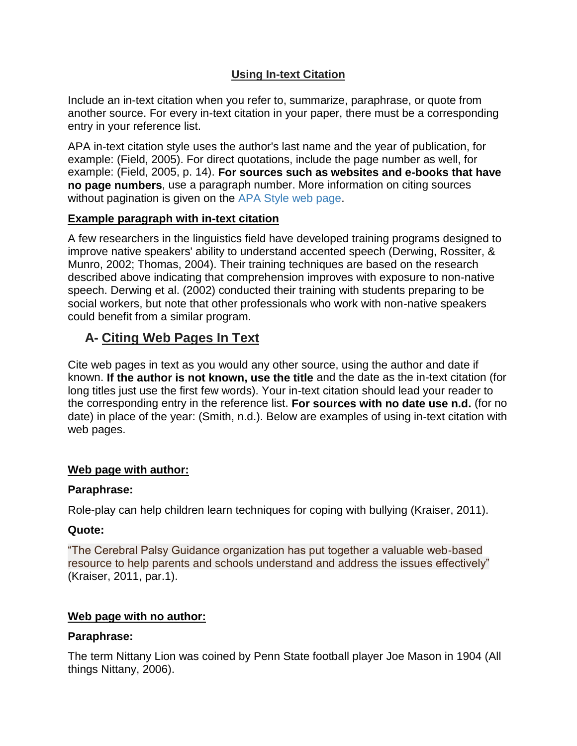# **Using In-text Citation**

Include an in-text citation when you refer to, summarize, paraphrase, or quote from another source. For every in-text citation in your paper, there must be a corresponding entry in your reference list.

APA in-text citation style uses the author's last name and the year of publication, for example: (Field, 2005). For direct quotations, include the page number as well, for example: (Field, 2005, p. 14). **For sources such as websites and e-books that have no page numbers**, use a paragraph number. More information on citing sources without pagination is given on the [APA Style web page.](http://www.apastyle.org/learn/faqs/cite-website-material.aspx)

### **Example paragraph with in-text citation**

A few researchers in the linguistics field have developed training programs designed to improve native speakers' ability to understand accented speech (Derwing, Rossiter, & Munro, 2002; Thomas, 2004). Their training techniques are based on the research described above indicating that comprehension improves with exposure to non-native speech. Derwing et al. (2002) conducted their training with students preparing to be social workers, but note that other professionals who work with non-native speakers could benefit from a similar program.

# **A- Citing Web Pages In Text**

Cite web pages in text as you would any other source, using the author and date if known. **If the author is not known, use the title** and the date as the in-text citation (for long titles just use the first few words). Your in-text citation should lead your reader to the corresponding entry in the reference list. **For sources with no date use n.d.** (for no date) in place of the year: (Smith, n.d.). Below are examples of using in-text citation with web pages.

## **Web page with author:**

### **Paraphrase:**

Role-play can help children learn techniques for coping with bullying (Kraiser, 2011).

### **Quote:**

"The Cerebral Palsy Guidance organization has put together a valuable web-based resource to help parents and schools understand and address the issues effectively" (Kraiser, 2011, par.1).

## **Web page with no author:**

### **Paraphrase:**

The term Nittany Lion was coined by Penn State football player Joe Mason in 1904 (All things Nittany, 2006).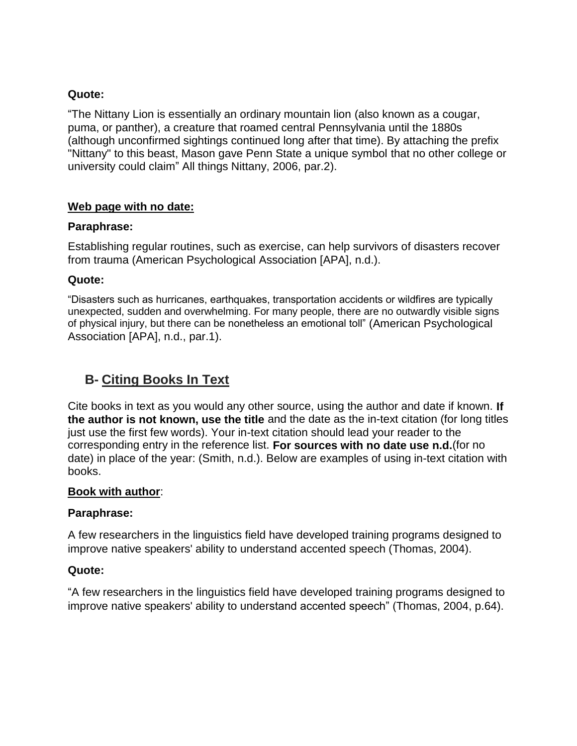### **Quote:**

"The Nittany Lion is essentially an ordinary mountain lion (also known as a cougar, puma, or panther), a creature that roamed central Pennsylvania until the 1880s (although unconfirmed sightings continued long after that time). By attaching the prefix "Nittany" to this beast, Mason gave Penn State a unique symbol that no other college or university could claim" All things Nittany, 2006, par.2).

## **Web page with no date:**

### **Paraphrase:**

Establishing regular routines, such as exercise, can help survivors of disasters recover from trauma (American Psychological Association [APA], n.d.).

### **Quote:**

"Disasters such as hurricanes, earthquakes, transportation accidents or wildfires are typically unexpected, sudden and overwhelming. For many people, there are no outwardly visible signs of physical injury, but there can be nonetheless an emotional toll" (American Psychological Association [APA], n.d., par.1).

# **B- Citing Books In Text**

Cite books in text as you would any other source, using the author and date if known. **If the author is not known, use the title** and the date as the in-text citation (for long titles just use the first few words). Your in-text citation should lead your reader to the corresponding entry in the reference list. **For sources with no date use n.d.**(for no date) in place of the year: (Smith, n.d.). Below are examples of using in-text citation with books.

### **Book with author**:

### **Paraphrase:**

A few researchers in the linguistics field have developed training programs designed to improve native speakers' ability to understand accented speech (Thomas, 2004).

### **Quote:**

"A few researchers in the linguistics field have developed training programs designed to improve native speakers' ability to understand accented speech" (Thomas, 2004, p.64).